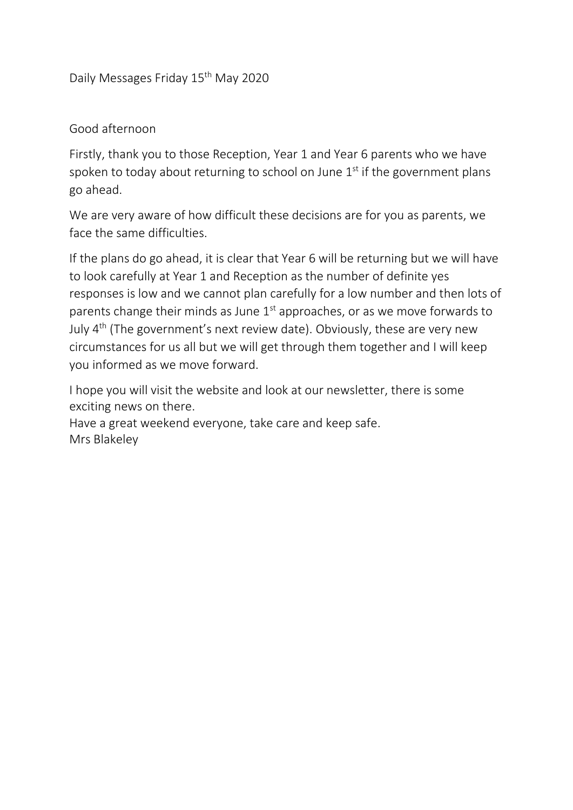Daily Messages Friday 15<sup>th</sup> May 2020

Good afternoon

Firstly, thank you to those Reception, Year 1 and Year 6 parents who we have spoken to today about returning to school on June  $1<sup>st</sup>$  if the government plans go ahead.

We are very aware of how difficult these decisions are for you as parents, we face the same difficulties.

If the plans do go ahead, it is clear that Year 6 will be returning but we will have to look carefully at Year 1 and Reception as the number of definite yes responses is low and we cannot plan carefully for a low number and then lots of parents change their minds as June  $1<sup>st</sup>$  approaches, or as we move forwards to July  $4<sup>th</sup>$  (The government's next review date). Obviously, these are very new circumstances for us all but we will get through them together and I will keep you informed as we move forward.

I hope you will visit the website and look at our newsletter, there is some exciting news on there.

Have a great weekend everyone, take care and keep safe. Mrs Blakeley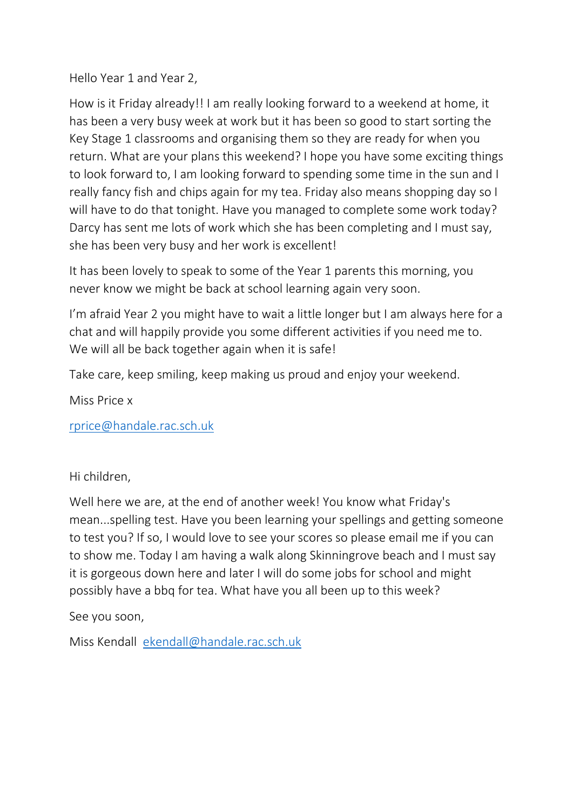Hello Year 1 and Year 2,

How is it Friday already!! I am really looking forward to a weekend at home, it has been a very busy week at work but it has been so good to start sorting the Key Stage 1 classrooms and organising them so they are ready for when you return. What are your plans this weekend? I hope you have some exciting things to look forward to, I am looking forward to spending some time in the sun and I really fancy fish and chips again for my tea. Friday also means shopping day so I will have to do that tonight. Have you managed to complete some work today? Darcy has sent me lots of work which she has been completing and I must say, she has been very busy and her work is excellent!

It has been lovely to speak to some of the Year 1 parents this morning, you never know we might be back at school learning again very soon.

I'm afraid Year 2 you might have to wait a little longer but I am always here for a chat and will happily provide you some different activities if you need me to. We will all be back together again when it is safe!

Take care, keep smiling, keep making us proud and enjoy your weekend.

Miss Price x

[rprice@handale.rac.sch.uk](mailto:rprice@handale.rac.sch.uk)

Hi children,

Well here we are, at the end of another week! You know what Friday's mean...spelling test. Have you been learning your spellings and getting someone to test you? If so, I would love to see your scores so please email me if you can to show me. Today I am having a walk along Skinningrove beach and I must say it is gorgeous down here and later I will do some jobs for school and might possibly have a bbq for tea. What have you all been up to this week?

See you soon,

Miss Kendall [ekendall@handale.rac.sch.uk](mailto:ekendall@handale.rac.sch.uk)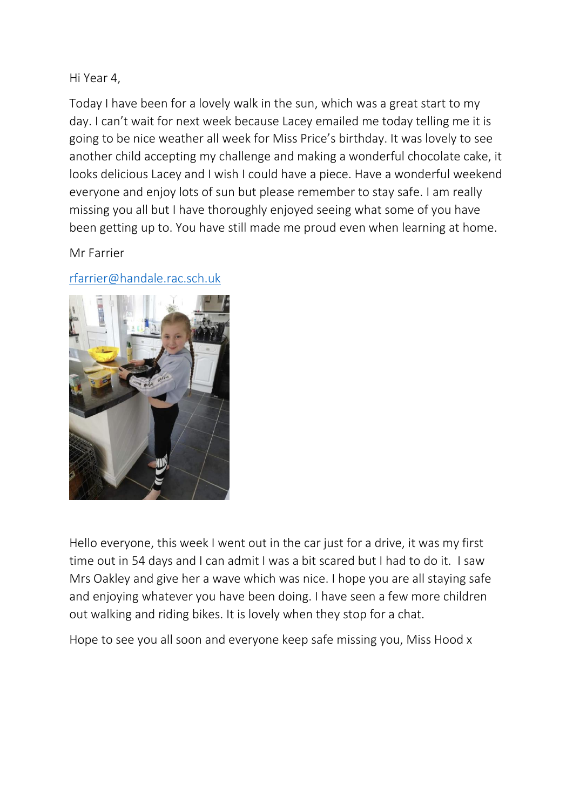# Hi Year 4,

Today I have been for a lovely walk in the sun, which was a great start to my day. I can't wait for next week because Lacey emailed me today telling me it is going to be nice weather all week for Miss Price's birthday. It was lovely to see another child accepting my challenge and making a wonderful chocolate cake, it looks delicious Lacey and I wish I could have a piece. Have a wonderful weekend everyone and enjoy lots of sun but please remember to stay safe. I am really missing you all but I have thoroughly enjoyed seeing what some of you have been getting up to. You have still made me proud even when learning at home.

Mr Farrier

[rfarrier@handale.rac.sch.uk](mailto:rfarrier@handale.rac.sch.uk)



Hello everyone, this week I went out in the car just for a drive, it was my first time out in 54 days and I can admit I was a bit scared but I had to do it. I saw Mrs Oakley and give her a wave which was nice. I hope you are all staying safe and enjoying whatever you have been doing. I have seen a few more children out walking and riding bikes. It is lovely when they stop for a chat.

Hope to see you all soon and everyone keep safe missing you, Miss Hood x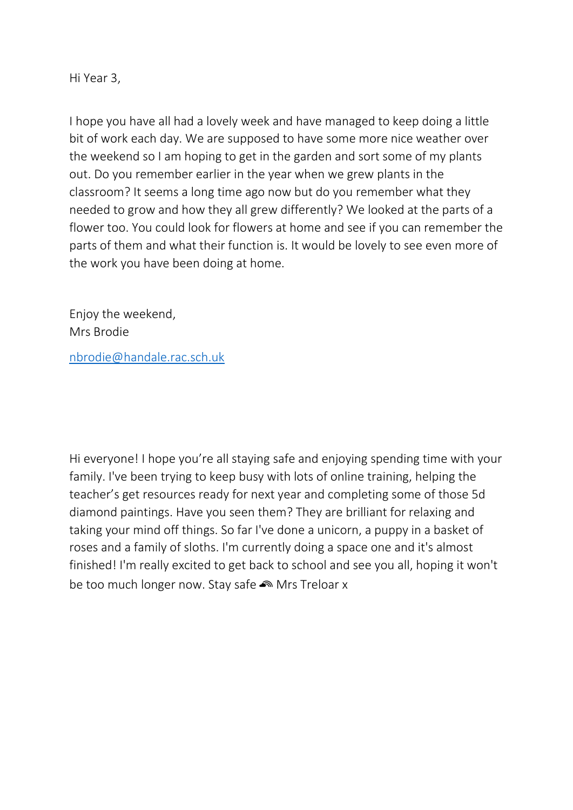Hi Year 3,

I hope you have all had a lovely week and have managed to keep doing a little bit of work each day. We are supposed to have some more nice weather over the weekend so I am hoping to get in the garden and sort some of my plants out. Do you remember earlier in the year when we grew plants in the classroom? It seems a long time ago now but do you remember what they needed to grow and how they all grew differently? We looked at the parts of a flower too. You could look for flowers at home and see if you can remember the parts of them and what their function is. It would be lovely to see even more of the work you have been doing at home.

Enjoy the weekend, Mrs Brodie

[nbrodie@handale.rac.sch.uk](mailto:nbrodie@handale.rac.sch.uk)

Hi everyone! I hope you're all staying safe and enjoying spending time with your family. I've been trying to keep busy with lots of online training, helping the teacher's get resources ready for next year and completing some of those 5d diamond paintings. Have you seen them? They are brilliant for relaxing and taking your mind off things. So far I've done a unicorn, a puppy in a basket of roses and a family of sloths. I'm currently doing a space one and it's almost finished! I'm really excited to get back to school and see you all, hoping it won't be too much longer now. Stay safe  $\bullet$  Mrs Treloar x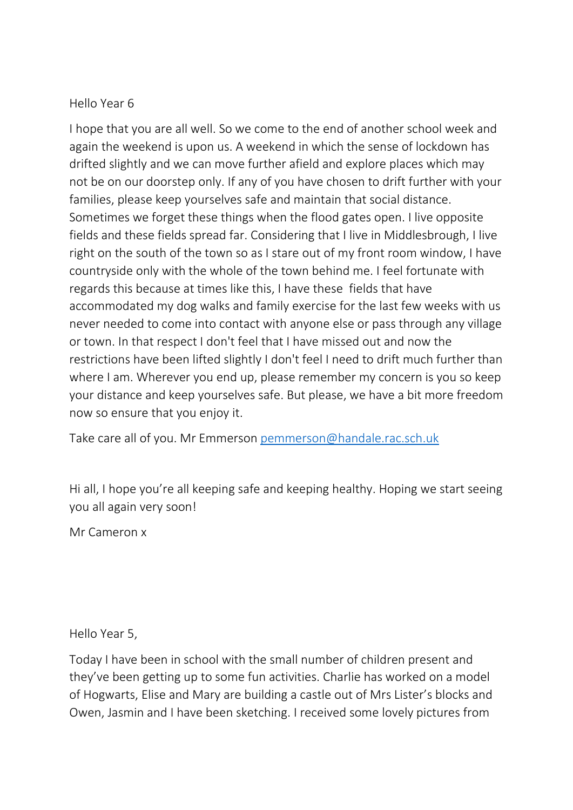#### Hello Year 6

I hope that you are all well. So we come to the end of another school week and again the weekend is upon us. A weekend in which the sense of lockdown has drifted slightly and we can move further afield and explore places which may not be on our doorstep only. If any of you have chosen to drift further with your families, please keep yourselves safe and maintain that social distance. Sometimes we forget these things when the flood gates open. I live opposite fields and these fields spread far. Considering that I live in Middlesbrough, I live right on the south of the town so as I stare out of my front room window, I have countryside only with the whole of the town behind me. I feel fortunate with regards this because at times like this, I have these fields that have accommodated my dog walks and family exercise for the last few weeks with us never needed to come into contact with anyone else or pass through any village or town. In that respect I don't feel that I have missed out and now the restrictions have been lifted slightly I don't feel I need to drift much further than where I am. Wherever you end up, please remember my concern is you so keep your distance and keep yourselves safe. But please, we have a bit more freedom now so ensure that you enjoy it.

Take care all of you. Mr Emmerson [pemmerson@handale.rac.sch.uk](mailto:pemmerson@handale.rac.sch.uk)

Hi all, I hope you're all keeping safe and keeping healthy. Hoping we start seeing you all again very soon!

Mr Cameron x

Hello Year 5,

Today I have been in school with the small number of children present and they've been getting up to some fun activities. Charlie has worked on a model of Hogwarts, Elise and Mary are building a castle out of Mrs Lister's blocks and Owen, Jasmin and I have been sketching. I received some lovely pictures from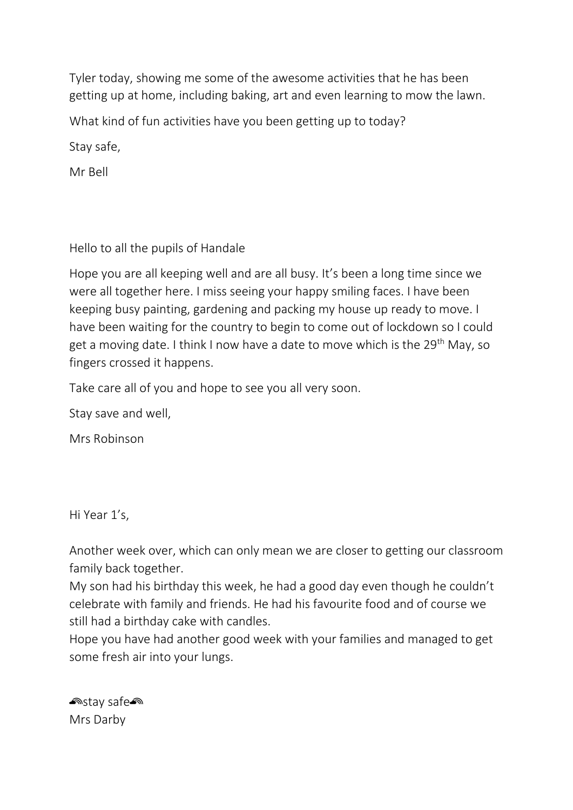Tyler today, showing me some of the awesome activities that he has been getting up at home, including baking, art and even learning to mow the lawn.

What kind of fun activities have you been getting up to today?

Stay safe,

Mr Bell

# Hello to all the pupils of Handale

Hope you are all keeping well and are all busy. It's been a long time since we were all together here. I miss seeing your happy smiling faces. I have been keeping busy painting, gardening and packing my house up ready to move. I have been waiting for the country to begin to come out of lockdown so I could get a moving date. I think I now have a date to move which is the 29<sup>th</sup> May, so fingers crossed it happens.

Take care all of you and hope to see you all very soon.

Stay save and well,

Mrs Robinson

Hi Year 1's,

Another week over, which can only mean we are closer to getting our classroom family back together.

My son had his birthday this week, he had a good day even though he couldn't celebrate with family and friends. He had his favourite food and of course we still had a birthday cake with candles.

Hope you have had another good week with your families and managed to get some fresh air into your lungs.

<u>**enstay safe**</u> Mrs Darby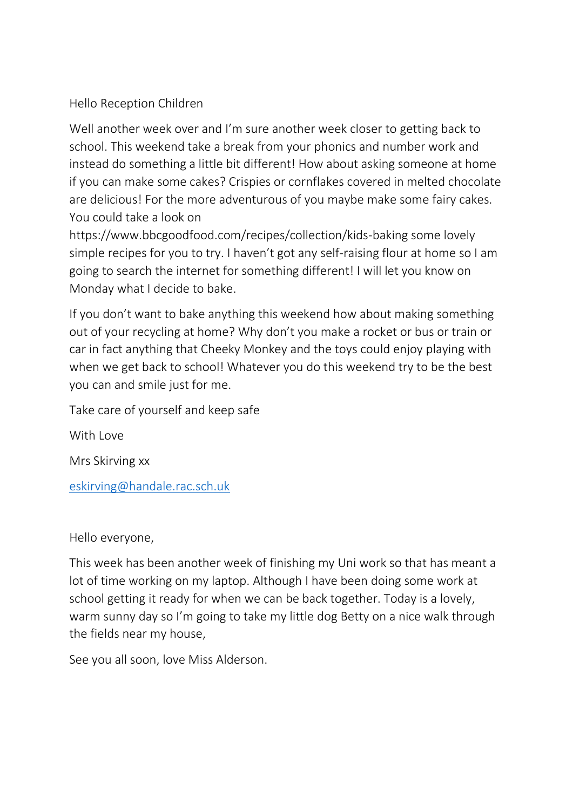# Hello Reception Children

Well another week over and I'm sure another week closer to getting back to school. This weekend take a break from your phonics and number work and instead do something a little bit different! How about asking someone at home if you can make some cakes? Crispies or cornflakes covered in melted chocolate are delicious! For the more adventurous of you maybe make some fairy cakes. You could take a look on

https://www.bbcgoodfood.com/recipes/collection/kids-baking some lovely simple recipes for you to try. I haven't got any self-raising flour at home so I am going to search the internet for something different! I will let you know on Monday what I decide to bake.

If you don't want to bake anything this weekend how about making something out of your recycling at home? Why don't you make a rocket or bus or train or car in fact anything that Cheeky Monkey and the toys could enjoy playing with when we get back to school! Whatever you do this weekend try to be the best you can and smile just for me.

Take care of yourself and keep safe

With Love

Mrs Skirving xx

[eskirving@handale.rac.sch.uk](mailto:eskirving@handale.rac.sch.uk)

#### Hello everyone,

This week has been another week of finishing my Uni work so that has meant a lot of time working on my laptop. Although I have been doing some work at school getting it ready for when we can be back together. Today is a lovely, warm sunny day so I'm going to take my little dog Betty on a nice walk through the fields near my house,

See you all soon, love Miss Alderson.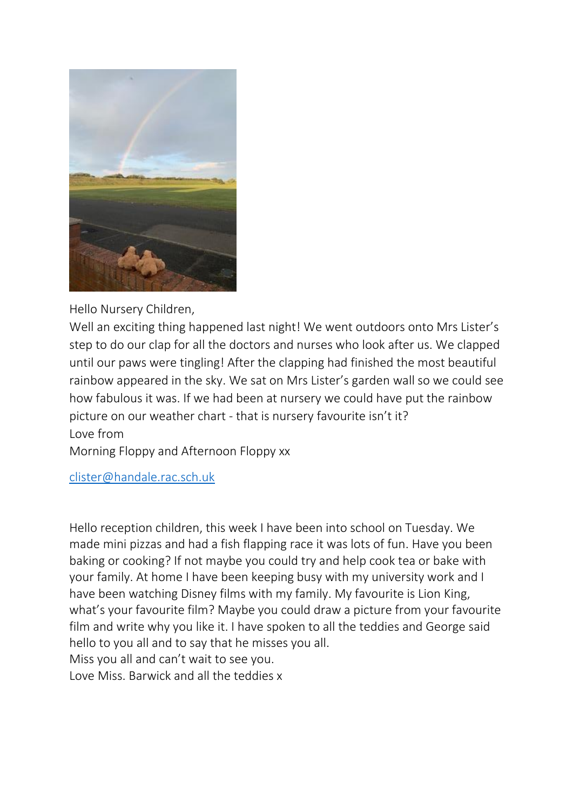

Hello Nursery Children,

Well an exciting thing happened last night! We went outdoors onto Mrs Lister's step to do our clap for all the doctors and nurses who look after us. We clapped until our paws were tingling! After the clapping had finished the most beautiful rainbow appeared in the sky. We sat on Mrs Lister's garden wall so we could see how fabulous it was. If we had been at nursery we could have put the rainbow picture on our weather chart - that is nursery favourite isn't it? Love from

Morning Floppy and Afternoon Floppy xx

[clister@handale.rac.sch.uk](mailto:clister@handale.rac.sch.uk)

Hello reception children, this week I have been into school on Tuesday. We made mini pizzas and had a fish flapping race it was lots of fun. Have you been baking or cooking? If not maybe you could try and help cook tea or bake with your family. At home I have been keeping busy with my university work and I have been watching Disney films with my family. My favourite is Lion King, what's your favourite film? Maybe you could draw a picture from your favourite film and write why you like it. I have spoken to all the teddies and George said hello to you all and to say that he misses you all. Miss you all and can't wait to see you.

Love Miss. Barwick and all the teddies x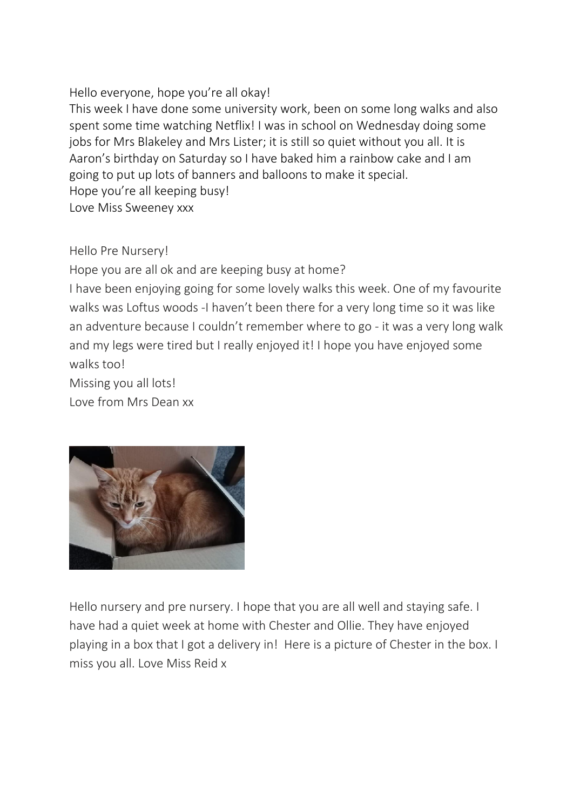#### Hello everyone, hope you're all okay!

This week I have done some university work, been on some long walks and also spent some time watching Netflix! I was in school on Wednesday doing some jobs for Mrs Blakeley and Mrs Lister; it is still so quiet without you all. It is Aaron's birthday on Saturday so I have baked him a rainbow cake and I am going to put up lots of banners and balloons to make it special. Hope you're all keeping busy! Love Miss Sweeney xxx

Hello Pre Nursery!

Hope you are all ok and are keeping busy at home?

I have been enjoying going for some lovely walks this week. One of my favourite walks was Loftus woods -I haven't been there for a very long time so it was like an adventure because I couldn't remember where to go - it was a very long walk and my legs were tired but I really enjoyed it! I hope you have enjoyed some walks too!

Missing you all lots!

Love from Mrs Dean xx



Hello nursery and pre nursery. I hope that you are all well and staying safe. I have had a quiet week at home with Chester and Ollie. They have enjoyed playing in a box that I got a delivery in! Here is a picture of Chester in the box. I miss you all. Love Miss Reid x